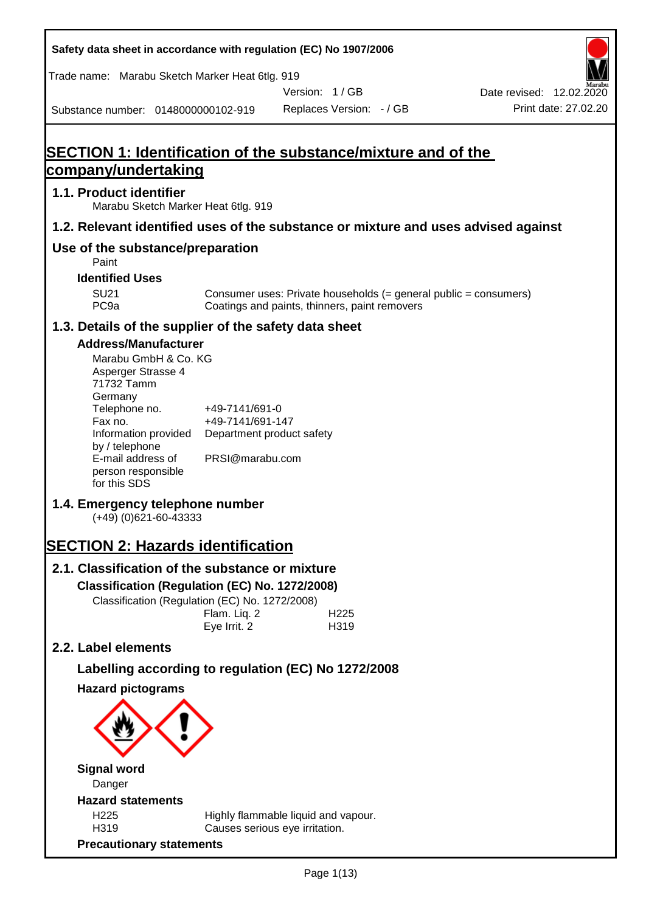**Safety data sheet in accordance with regulation (EC) No 1907/2006** Substance number: 0148000000102-919 Version: 1 / GB Replaces Version: - / GB Print date: 27.02.20 Date revised: 12.02.2020 Trade name: Marabu Sketch Marker Heat 6tlg. 919 **SECTION 1: Identification of the substance/mixture and of the company/undertaking 1.1. Product identifier** Marabu Sketch Marker Heat 6tlg. 919 **1.2. Relevant identified uses of the substance or mixture and uses advised against Use of the substance/preparation** Paint **Identified Uses** SU21 Consumer uses: Private households (= general public = consumers)<br>PC9a Coatings and paints, thinners, paint removers Coatings and paints, thinners, paint removers **1.3. Details of the supplier of the safety data sheet Address/Manufacturer** Marabu GmbH & Co. KG Asperger Strasse 4 71732 Tamm **Germany** Telephone no. +49-7141/691-0 Fax no.  $+49-7141/691-147$ Information provided Department product safety by / telephone E-mail address of person responsible for this SDS PRSI@marabu.com **1.4. Emergency telephone number** (+49) (0)621-60-43333 **SECTION 2: Hazards identification 2.1. Classification of the substance or mixture Classification (Regulation (EC) No. 1272/2008)** Classification (Regulation (EC) No. 1272/2008) Flam. Liq. 2 H225 Eye Irrit. 2 H319 **2.2. Label elements Labelling according to regulation (EC) No 1272/2008 Hazard pictograms Signal word** Danger **Hazard statements** H225 Highly flammable liquid and vapour. H319 Causes serious eye irritation. **Precautionary statements**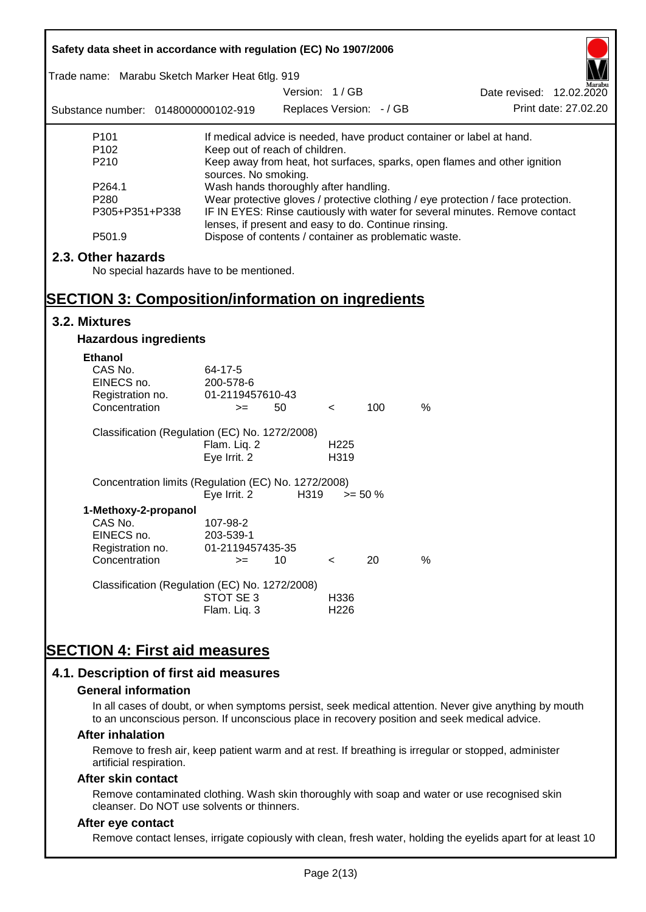| Safety data sheet in accordance with regulation (EC) No 1907/2006 |                                                       |                          |                  |            |                                                                       |                                                                                  |
|-------------------------------------------------------------------|-------------------------------------------------------|--------------------------|------------------|------------|-----------------------------------------------------------------------|----------------------------------------------------------------------------------|
| Trade name: Marabu Sketch Marker Heat 6tlg. 919                   |                                                       | Version: 1/GB            |                  |            |                                                                       |                                                                                  |
| Substance number: 0148000000102-919                               |                                                       | Replaces Version: - / GB |                  |            |                                                                       | Date revised: 12.02.2020<br>Print date: 27,02.20                                 |
|                                                                   |                                                       |                          |                  |            |                                                                       |                                                                                  |
| P <sub>101</sub>                                                  |                                                       |                          |                  |            | If medical advice is needed, have product container or label at hand. |                                                                                  |
| P <sub>102</sub>                                                  | Keep out of reach of children.                        |                          |                  |            |                                                                       |                                                                                  |
| P210                                                              |                                                       |                          |                  |            |                                                                       | Keep away from heat, hot surfaces, sparks, open flames and other ignition        |
| P264.1                                                            | sources. No smoking.                                  |                          |                  |            |                                                                       |                                                                                  |
| P280                                                              | Wash hands thoroughly after handling.                 |                          |                  |            |                                                                       | Wear protective gloves / protective clothing / eye protection / face protection. |
| P305+P351+P338                                                    |                                                       |                          |                  |            |                                                                       | IF IN EYES: Rinse cautiously with water for several minutes. Remove contact      |
|                                                                   | lenses, if present and easy to do. Continue rinsing.  |                          |                  |            |                                                                       |                                                                                  |
| P501.9                                                            | Dispose of contents / container as problematic waste. |                          |                  |            |                                                                       |                                                                                  |
| 2.3. Other hazards                                                |                                                       |                          |                  |            |                                                                       |                                                                                  |
| No special hazards have to be mentioned.                          |                                                       |                          |                  |            |                                                                       |                                                                                  |
|                                                                   |                                                       |                          |                  |            |                                                                       |                                                                                  |
| <b>SECTION 3: Composition/information on ingredients</b>          |                                                       |                          |                  |            |                                                                       |                                                                                  |
| 3.2. Mixtures                                                     |                                                       |                          |                  |            |                                                                       |                                                                                  |
| <b>Hazardous ingredients</b>                                      |                                                       |                          |                  |            |                                                                       |                                                                                  |
| <b>Ethanol</b>                                                    |                                                       |                          |                  |            |                                                                       |                                                                                  |
| CAS No.                                                           | 64-17-5                                               |                          |                  |            |                                                                       |                                                                                  |
| EINECS no.                                                        | 200-578-6                                             |                          |                  |            |                                                                       |                                                                                  |
| Registration no.                                                  | 01-2119457610-43                                      |                          |                  |            |                                                                       |                                                                                  |
| Concentration                                                     | $>=$                                                  | 50                       | $\lt$            | 100        | %                                                                     |                                                                                  |
| Classification (Regulation (EC) No. 1272/2008)                    |                                                       |                          |                  |            |                                                                       |                                                                                  |
|                                                                   | Flam. Liq. 2                                          |                          | H <sub>225</sub> |            |                                                                       |                                                                                  |
|                                                                   | Eye Irrit. 2                                          |                          | H319             |            |                                                                       |                                                                                  |
|                                                                   |                                                       |                          |                  |            |                                                                       |                                                                                  |
| Concentration limits (Regulation (EC) No. 1272/2008)              |                                                       |                          |                  |            |                                                                       |                                                                                  |
|                                                                   | Eye Irrit. 2                                          | H319                     |                  | $>= 50 \%$ |                                                                       |                                                                                  |
| 1-Methoxy-2-propanol                                              |                                                       |                          |                  |            |                                                                       |                                                                                  |
| CAS No.<br>EINECS no.                                             | 107-98-2                                              |                          |                  |            |                                                                       |                                                                                  |
|                                                                   | 203-539-1<br>01-2119457435-35                         |                          |                  |            |                                                                       |                                                                                  |
| Registration no.<br>Concentration                                 | $>=$                                                  | 10                       | $\,<\,$          | 20         | %                                                                     |                                                                                  |
|                                                                   |                                                       |                          |                  |            |                                                                       |                                                                                  |
| Classification (Regulation (EC) No. 1272/2008)                    |                                                       |                          |                  |            |                                                                       |                                                                                  |
|                                                                   | STOT SE 3                                             |                          | H336             |            |                                                                       |                                                                                  |
|                                                                   | Flam. Liq. 3                                          |                          | H <sub>226</sub> |            |                                                                       |                                                                                  |
|                                                                   |                                                       |                          |                  |            |                                                                       |                                                                                  |
| <b>SECTION 4: First aid measures</b>                              |                                                       |                          |                  |            |                                                                       |                                                                                  |
|                                                                   |                                                       |                          |                  |            |                                                                       |                                                                                  |
| 4.1. Description of first aid measures                            |                                                       |                          |                  |            |                                                                       |                                                                                  |

#### **General information**

In all cases of doubt, or when symptoms persist, seek medical attention. Never give anything by mouth to an unconscious person. If unconscious place in recovery position and seek medical advice.

#### **After inhalation**

Remove to fresh air, keep patient warm and at rest. If breathing is irregular or stopped, administer artificial respiration.

#### **After skin contact**

Remove contaminated clothing. Wash skin thoroughly with soap and water or use recognised skin cleanser. Do NOT use solvents or thinners.

#### **After eye contact**

Remove contact lenses, irrigate copiously with clean, fresh water, holding the eyelids apart for at least 10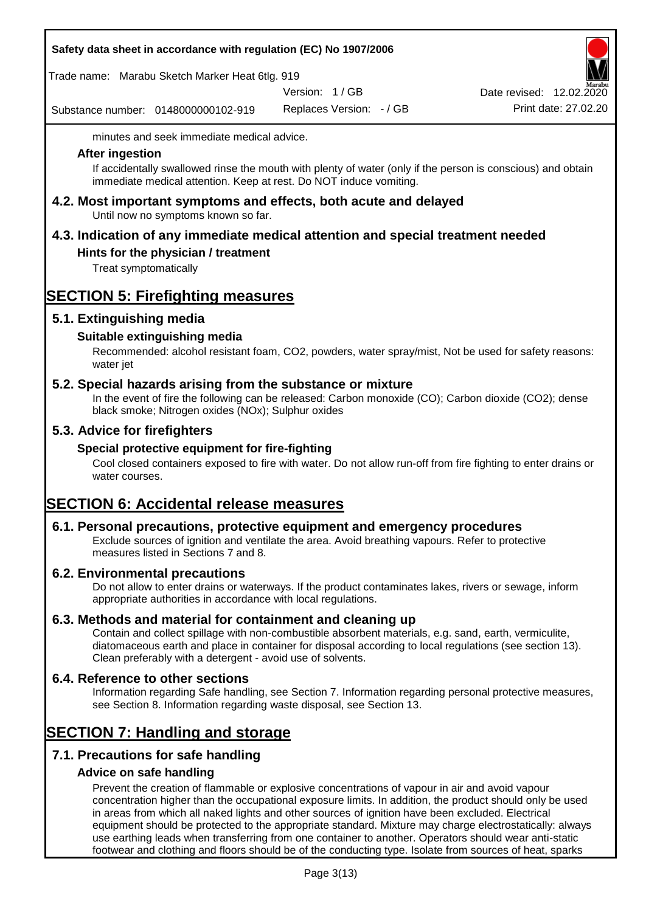Trade name: Marabu Sketch Marker Heat 6tlg. 919

Version: 1 / GB

Substance number: 0148000000102-919

Replaces Version: - / GB Print date: 27.02.20 Date revised: 12.02.2020

minutes and seek immediate medical advice.

#### **After ingestion**

If accidentally swallowed rinse the mouth with plenty of water (only if the person is conscious) and obtain immediate medical attention. Keep at rest. Do NOT induce vomiting.

**4.2. Most important symptoms and effects, both acute and delayed** Until now no symptoms known so far.

## **4.3. Indication of any immediate medical attention and special treatment needed**

#### **Hints for the physician / treatment**

Treat symptomatically

## **SECTION 5: Firefighting measures**

#### **5.1. Extinguishing media**

#### **Suitable extinguishing media**

Recommended: alcohol resistant foam, CO2, powders, water spray/mist, Not be used for safety reasons: water jet

### **5.2. Special hazards arising from the substance or mixture**

In the event of fire the following can be released: Carbon monoxide (CO); Carbon dioxide (CO2); dense black smoke; Nitrogen oxides (NOx); Sulphur oxides

#### **5.3. Advice for firefighters**

#### **Special protective equipment for fire-fighting**

Cool closed containers exposed to fire with water. Do not allow run-off from fire fighting to enter drains or water courses.

## **SECTION 6: Accidental release measures**

#### **6.1. Personal precautions, protective equipment and emergency procedures**

Exclude sources of ignition and ventilate the area. Avoid breathing vapours. Refer to protective measures listed in Sections 7 and 8.

#### **6.2. Environmental precautions**

Do not allow to enter drains or waterways. If the product contaminates lakes, rivers or sewage, inform appropriate authorities in accordance with local regulations.

#### **6.3. Methods and material for containment and cleaning up**

Contain and collect spillage with non-combustible absorbent materials, e.g. sand, earth, vermiculite, diatomaceous earth and place in container for disposal according to local regulations (see section 13). Clean preferably with a detergent - avoid use of solvents.

#### **6.4. Reference to other sections**

Information regarding Safe handling, see Section 7. Information regarding personal protective measures, see Section 8. Information regarding waste disposal, see Section 13.

## **SECTION 7: Handling and storage**

## **7.1. Precautions for safe handling**

## **Advice on safe handling**

Prevent the creation of flammable or explosive concentrations of vapour in air and avoid vapour concentration higher than the occupational exposure limits. In addition, the product should only be used in areas from which all naked lights and other sources of ignition have been excluded. Electrical equipment should be protected to the appropriate standard. Mixture may charge electrostatically: always use earthing leads when transferring from one container to another. Operators should wear anti-static footwear and clothing and floors should be of the conducting type. Isolate from sources of heat, sparks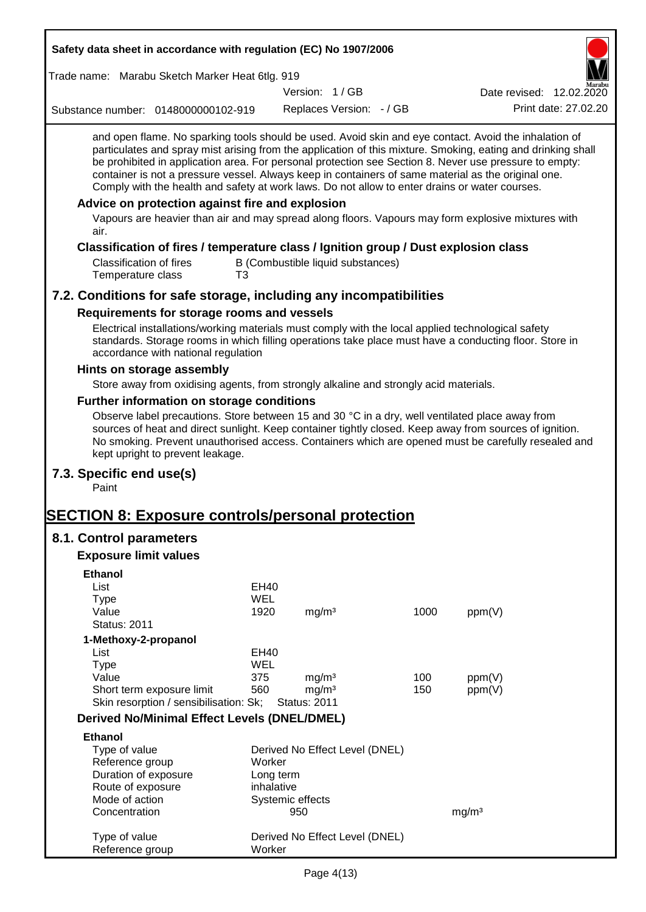| Safety data sheet in accordance with regulation (EC) No 1907/2006                                                                                                                                                                                                                                                                                                                                                                                                                                                                                                                                                                                                                                         |            |                                          |                                   |      |                          |                      |
|-----------------------------------------------------------------------------------------------------------------------------------------------------------------------------------------------------------------------------------------------------------------------------------------------------------------------------------------------------------------------------------------------------------------------------------------------------------------------------------------------------------------------------------------------------------------------------------------------------------------------------------------------------------------------------------------------------------|------------|------------------------------------------|-----------------------------------|------|--------------------------|----------------------|
| Trade name: Marabu Sketch Marker Heat 6tlg. 919                                                                                                                                                                                                                                                                                                                                                                                                                                                                                                                                                                                                                                                           |            |                                          |                                   |      |                          |                      |
|                                                                                                                                                                                                                                                                                                                                                                                                                                                                                                                                                                                                                                                                                                           |            | Version: 1/GB                            |                                   |      | Date revised: 12.02.2020 |                      |
| Substance number: 0148000000102-919                                                                                                                                                                                                                                                                                                                                                                                                                                                                                                                                                                                                                                                                       |            |                                          | Replaces Version: - / GB          |      |                          | Print date: 27.02.20 |
| and open flame. No sparking tools should be used. Avoid skin and eye contact. Avoid the inhalation of<br>particulates and spray mist arising from the application of this mixture. Smoking, eating and drinking shall<br>be prohibited in application area. For personal protection see Section 8. Never use pressure to empty:<br>container is not a pressure vessel. Always keep in containers of same material as the original one.<br>Comply with the health and safety at work laws. Do not allow to enter drains or water courses.<br>Advice on protection against fire and explosion<br>Vapours are heavier than air and may spread along floors. Vapours may form explosive mixtures with<br>air. |            |                                          |                                   |      |                          |                      |
| Classification of fires / temperature class / Ignition group / Dust explosion class                                                                                                                                                                                                                                                                                                                                                                                                                                                                                                                                                                                                                       |            |                                          |                                   |      |                          |                      |
| <b>Classification of fires</b><br>Temperature class<br>T3                                                                                                                                                                                                                                                                                                                                                                                                                                                                                                                                                                                                                                                 |            |                                          | B (Combustible liquid substances) |      |                          |                      |
| 7.2. Conditions for safe storage, including any incompatibilities                                                                                                                                                                                                                                                                                                                                                                                                                                                                                                                                                                                                                                         |            |                                          |                                   |      |                          |                      |
| Requirements for storage rooms and vessels                                                                                                                                                                                                                                                                                                                                                                                                                                                                                                                                                                                                                                                                |            |                                          |                                   |      |                          |                      |
| Electrical installations/working materials must comply with the local applied technological safety<br>standards. Storage rooms in which filling operations take place must have a conducting floor. Store in<br>accordance with national regulation                                                                                                                                                                                                                                                                                                                                                                                                                                                       |            |                                          |                                   |      |                          |                      |
| Hints on storage assembly                                                                                                                                                                                                                                                                                                                                                                                                                                                                                                                                                                                                                                                                                 |            |                                          |                                   |      |                          |                      |
| Store away from oxidising agents, from strongly alkaline and strongly acid materials.                                                                                                                                                                                                                                                                                                                                                                                                                                                                                                                                                                                                                     |            |                                          |                                   |      |                          |                      |
| Further information on storage conditions                                                                                                                                                                                                                                                                                                                                                                                                                                                                                                                                                                                                                                                                 |            |                                          |                                   |      |                          |                      |
| Observe label precautions. Store between 15 and 30 °C in a dry, well ventilated place away from<br>sources of heat and direct sunlight. Keep container tightly closed. Keep away from sources of ignition.<br>No smoking. Prevent unauthorised access. Containers which are opened must be carefully resealed and<br>kept upright to prevent leakage.                                                                                                                                                                                                                                                                                                                                                     |            |                                          |                                   |      |                          |                      |
| 7.3. Specific end use(s)<br>Paint                                                                                                                                                                                                                                                                                                                                                                                                                                                                                                                                                                                                                                                                         |            |                                          |                                   |      |                          |                      |
| <b>SECTION 8: Exposure controls/personal protection</b>                                                                                                                                                                                                                                                                                                                                                                                                                                                                                                                                                                                                                                                   |            |                                          |                                   |      |                          |                      |
| 8.1. Control parameters                                                                                                                                                                                                                                                                                                                                                                                                                                                                                                                                                                                                                                                                                   |            |                                          |                                   |      |                          |                      |
| <b>Exposure limit values</b>                                                                                                                                                                                                                                                                                                                                                                                                                                                                                                                                                                                                                                                                              |            |                                          |                                   |      |                          |                      |
|                                                                                                                                                                                                                                                                                                                                                                                                                                                                                                                                                                                                                                                                                                           |            |                                          |                                   |      |                          |                      |
| <b>Ethanol</b><br>List                                                                                                                                                                                                                                                                                                                                                                                                                                                                                                                                                                                                                                                                                    | EH40       |                                          |                                   |      |                          |                      |
| <b>Type</b>                                                                                                                                                                                                                                                                                                                                                                                                                                                                                                                                                                                                                                                                                               | <b>WEL</b> |                                          |                                   |      |                          |                      |
| Value                                                                                                                                                                                                                                                                                                                                                                                                                                                                                                                                                                                                                                                                                                     | 1920       | mg/m <sup>3</sup>                        |                                   | 1000 | ppm(V)                   |                      |
| <b>Status: 2011</b>                                                                                                                                                                                                                                                                                                                                                                                                                                                                                                                                                                                                                                                                                       |            |                                          |                                   |      |                          |                      |
| 1-Methoxy-2-propanol                                                                                                                                                                                                                                                                                                                                                                                                                                                                                                                                                                                                                                                                                      |            |                                          |                                   |      |                          |                      |
| List                                                                                                                                                                                                                                                                                                                                                                                                                                                                                                                                                                                                                                                                                                      | EH40       |                                          |                                   |      |                          |                      |
| <b>Type</b>                                                                                                                                                                                                                                                                                                                                                                                                                                                                                                                                                                                                                                                                                               | <b>WEL</b> |                                          |                                   |      |                          |                      |
| Value                                                                                                                                                                                                                                                                                                                                                                                                                                                                                                                                                                                                                                                                                                     | 375        | mg/m <sup>3</sup>                        |                                   | 100  | ppm(V)                   |                      |
| Short term exposure limit<br>Skin resorption / sensibilisation: Sk;                                                                                                                                                                                                                                                                                                                                                                                                                                                                                                                                                                                                                                       | 560        | mg/m <sup>3</sup><br><b>Status: 2011</b> |                                   | 150  | ppm(V)                   |                      |
| <b>Derived No/Minimal Effect Levels (DNEL/DMEL)</b>                                                                                                                                                                                                                                                                                                                                                                                                                                                                                                                                                                                                                                                       |            |                                          |                                   |      |                          |                      |
|                                                                                                                                                                                                                                                                                                                                                                                                                                                                                                                                                                                                                                                                                                           |            |                                          |                                   |      |                          |                      |
| <b>Ethanol</b><br>Type of value                                                                                                                                                                                                                                                                                                                                                                                                                                                                                                                                                                                                                                                                           |            |                                          | Derived No Effect Level (DNEL)    |      |                          |                      |
| Reference group                                                                                                                                                                                                                                                                                                                                                                                                                                                                                                                                                                                                                                                                                           | Worker     |                                          |                                   |      |                          |                      |
| Duration of exposure                                                                                                                                                                                                                                                                                                                                                                                                                                                                                                                                                                                                                                                                                      | Long term  |                                          |                                   |      |                          |                      |
| Route of exposure                                                                                                                                                                                                                                                                                                                                                                                                                                                                                                                                                                                                                                                                                         | inhalative |                                          |                                   |      |                          |                      |
| Mode of action                                                                                                                                                                                                                                                                                                                                                                                                                                                                                                                                                                                                                                                                                            |            | Systemic effects                         |                                   |      |                          |                      |
| Concentration                                                                                                                                                                                                                                                                                                                                                                                                                                                                                                                                                                                                                                                                                             |            | 950                                      |                                   |      | mg/m <sup>3</sup>        |                      |
| Type of value<br>Reference group                                                                                                                                                                                                                                                                                                                                                                                                                                                                                                                                                                                                                                                                          | Worker     |                                          | Derived No Effect Level (DNEL)    |      |                          |                      |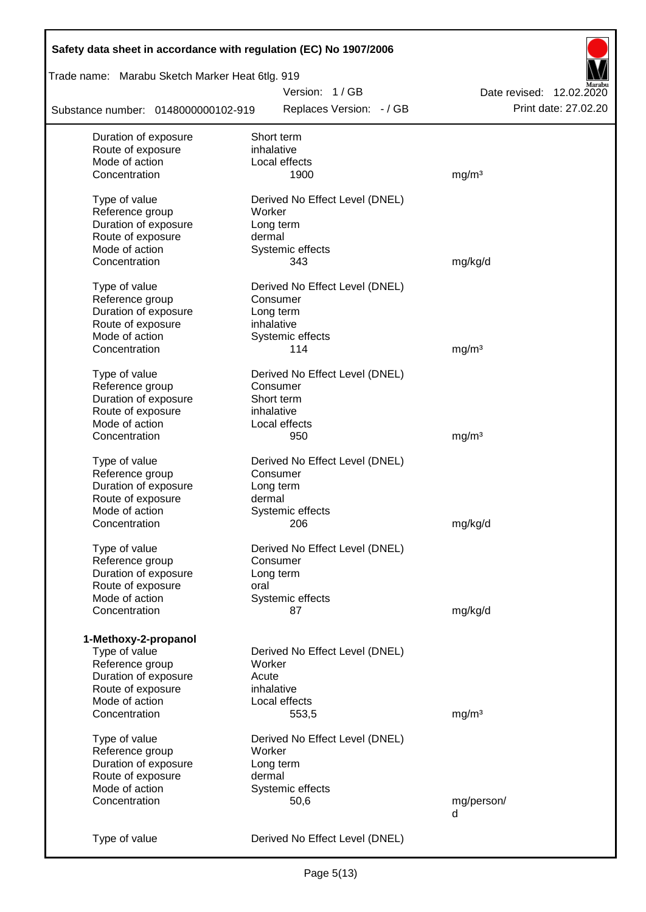| Safety data sheet in accordance with regulation (EC) No 1907/2006 |                                |                          |
|-------------------------------------------------------------------|--------------------------------|--------------------------|
| Trade name: Marabu Sketch Marker Heat 6tlg. 919                   |                                |                          |
|                                                                   | Version: 1/GB                  | Date revised: 12.02.2020 |
| Substance number: 0148000000102-919                               | Replaces Version: - / GB       | Print date: 27.02.20     |
| Duration of exposure                                              | Short term                     |                          |
| Route of exposure                                                 | inhalative                     |                          |
| Mode of action                                                    | Local effects                  |                          |
| Concentration                                                     | 1900                           | mg/m <sup>3</sup>        |
| Type of value                                                     | Derived No Effect Level (DNEL) |                          |
| Reference group                                                   | Worker                         |                          |
| Duration of exposure                                              | Long term                      |                          |
| Route of exposure                                                 | dermal                         |                          |
| Mode of action                                                    | Systemic effects               |                          |
| Concentration                                                     | 343                            | mg/kg/d                  |
| Type of value                                                     | Derived No Effect Level (DNEL) |                          |
| Reference group                                                   | Consumer                       |                          |
| Duration of exposure                                              | Long term                      |                          |
| Route of exposure                                                 | inhalative                     |                          |
| Mode of action                                                    | Systemic effects               |                          |
| Concentration                                                     | 114                            | mg/m <sup>3</sup>        |
| Type of value                                                     | Derived No Effect Level (DNEL) |                          |
| Reference group                                                   | Consumer                       |                          |
| Duration of exposure                                              | Short term                     |                          |
| Route of exposure                                                 | inhalative                     |                          |
| Mode of action                                                    | Local effects                  |                          |
| Concentration                                                     | 950                            | mg/m <sup>3</sup>        |
|                                                                   |                                |                          |
| Type of value                                                     | Derived No Effect Level (DNEL) |                          |
| Reference group                                                   | Consumer                       |                          |
| Duration of exposure                                              | Long term                      |                          |
| Route of exposure                                                 | dermal                         |                          |
| Mode of action                                                    | Systemic effects               |                          |
| Concentration                                                     | 206                            | mg/kg/d                  |
| Type of value                                                     | Derived No Effect Level (DNEL) |                          |
| Reference group                                                   | Consumer                       |                          |
| Duration of exposure                                              | Long term                      |                          |
| Route of exposure                                                 | oral                           |                          |
| Mode of action                                                    | Systemic effects               |                          |
| Concentration                                                     | 87                             | mg/kg/d                  |
| 1-Methoxy-2-propanol                                              |                                |                          |
| Type of value                                                     | Derived No Effect Level (DNEL) |                          |
| Reference group                                                   | Worker                         |                          |
| Duration of exposure                                              | Acute                          |                          |
| Route of exposure                                                 | inhalative                     |                          |
| Mode of action                                                    | Local effects                  |                          |
| Concentration                                                     | 553,5                          | mg/m <sup>3</sup>        |
|                                                                   |                                |                          |
| Type of value                                                     | Derived No Effect Level (DNEL) |                          |
| Reference group                                                   | Worker                         |                          |
| Duration of exposure                                              | Long term                      |                          |
| Route of exposure                                                 | dermal                         |                          |
| Mode of action                                                    | Systemic effects               |                          |
| Concentration                                                     | 50,6                           | mg/person/               |
|                                                                   |                                | d                        |
| Type of value                                                     | Derived No Effect Level (DNEL) |                          |
|                                                                   |                                |                          |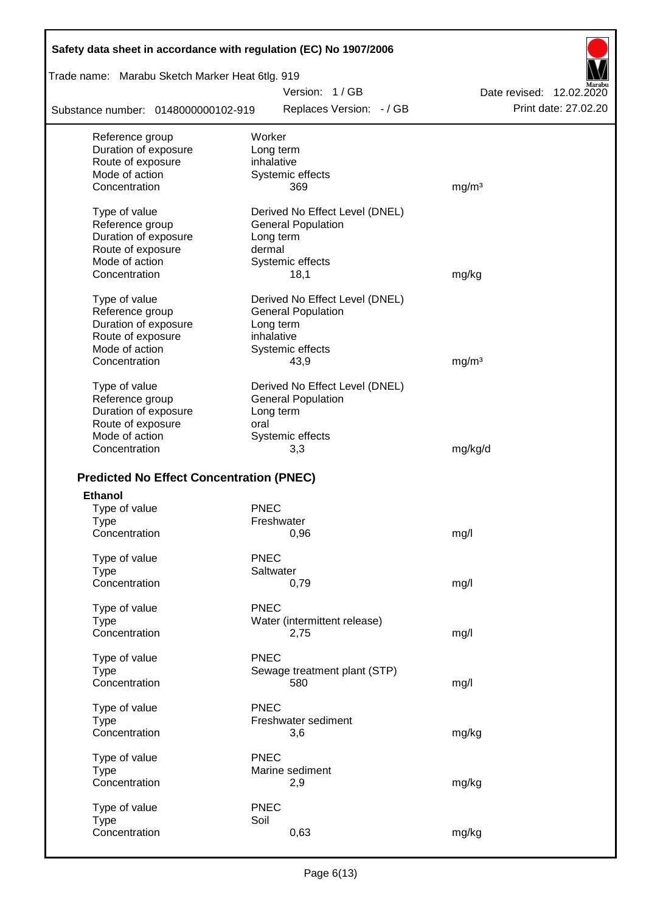| Safety data sheet in accordance with regulation (EC) No 1907/2006 |                                |                          |
|-------------------------------------------------------------------|--------------------------------|--------------------------|
| Trade name: Marabu Sketch Marker Heat 6tlg. 919                   |                                |                          |
|                                                                   | Version: 1/GB                  | Date revised: 12.02.2020 |
| Substance number: 0148000000102-919                               | Replaces Version: - / GB       | Print date: 27.02.20     |
| Reference group                                                   | Worker                         |                          |
| Duration of exposure                                              | Long term                      |                          |
| Route of exposure                                                 | inhalative                     |                          |
| Mode of action                                                    | Systemic effects               |                          |
| Concentration                                                     | 369                            | mg/m <sup>3</sup>        |
| Type of value                                                     | Derived No Effect Level (DNEL) |                          |
| Reference group                                                   | <b>General Population</b>      |                          |
| Duration of exposure                                              | Long term                      |                          |
| Route of exposure                                                 | dermal                         |                          |
| Mode of action                                                    | Systemic effects               |                          |
| Concentration                                                     | 18,1                           | mg/kg                    |
| Type of value                                                     | Derived No Effect Level (DNEL) |                          |
| Reference group                                                   | <b>General Population</b>      |                          |
| Duration of exposure                                              | Long term                      |                          |
| Route of exposure                                                 | inhalative                     |                          |
| Mode of action                                                    | Systemic effects               |                          |
| Concentration                                                     | 43,9                           | mg/m <sup>3</sup>        |
| Type of value                                                     | Derived No Effect Level (DNEL) |                          |
| Reference group                                                   | <b>General Population</b>      |                          |
| Duration of exposure                                              | Long term                      |                          |
| Route of exposure                                                 | oral                           |                          |
| Mode of action                                                    | Systemic effects               |                          |
| Concentration                                                     | 3,3                            | mg/kg/d                  |
|                                                                   |                                |                          |
| <b>Predicted No Effect Concentration (PNEC)</b>                   |                                |                          |
| <b>Ethanol</b>                                                    | <b>PNEC</b>                    |                          |
| Type of value<br>Type                                             | Freshwater                     |                          |
| Concentration                                                     | 0,96                           | mg/l                     |
|                                                                   |                                |                          |
| Type of value                                                     | <b>PNEC</b>                    |                          |
| <b>Type</b>                                                       | Saltwater                      |                          |
| Concentration                                                     | 0,79                           | mg/l                     |
| Type of value                                                     | <b>PNEC</b>                    |                          |
| <b>Type</b>                                                       | Water (intermittent release)   |                          |
| Concentration                                                     | 2,75                           | mg/l                     |
| Type of value                                                     | <b>PNEC</b>                    |                          |
| <b>Type</b>                                                       | Sewage treatment plant (STP)   |                          |
| Concentration                                                     | 580                            | mg/l                     |
| Type of value                                                     | <b>PNEC</b>                    |                          |
| <b>Type</b>                                                       | Freshwater sediment            |                          |
| Concentration                                                     | 3,6                            | mg/kg                    |
| Type of value                                                     | <b>PNEC</b>                    |                          |
| <b>Type</b>                                                       | Marine sediment                |                          |
| Concentration                                                     | 2,9                            | mg/kg                    |
|                                                                   |                                |                          |
| Type of value                                                     | <b>PNEC</b>                    |                          |
| <b>Type</b>                                                       | Soil                           |                          |
| Concentration                                                     | 0,63                           | mg/kg                    |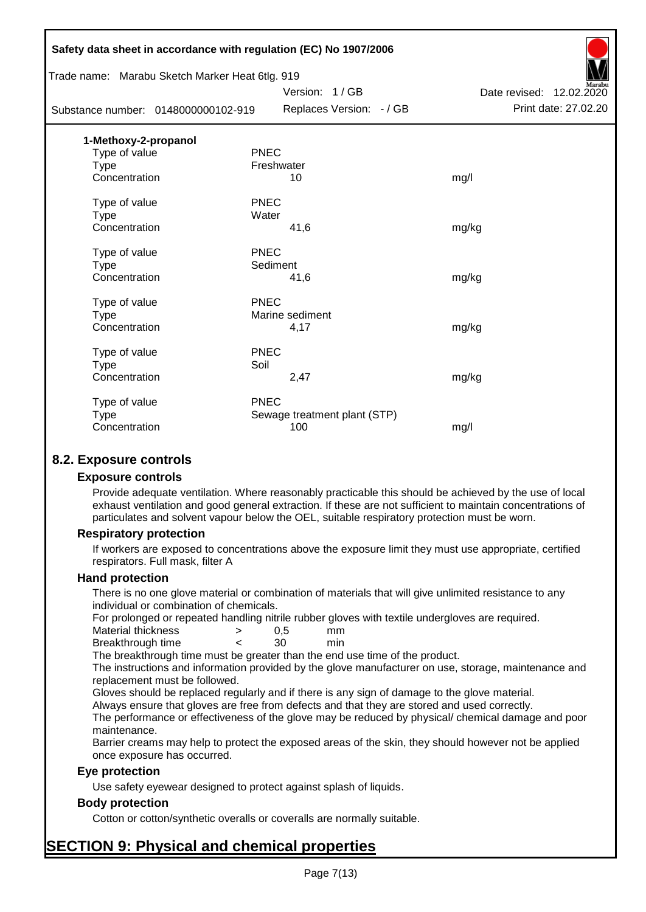|                                                 | Safety data sheet in accordance with regulation (EC) No 1907/2006 |                          |
|-------------------------------------------------|-------------------------------------------------------------------|--------------------------|
| Trade name: Marabu Sketch Marker Heat 6tlg. 919 |                                                                   |                          |
|                                                 | Version: 1/GB                                                     | Date revised: 12.02.2020 |
| Substance number: 0148000000102-919             | Replaces Version: - / GB                                          | Print date: 27.02.20     |
| 1-Methoxy-2-propanol                            |                                                                   |                          |
| Type of value                                   | <b>PNEC</b>                                                       |                          |
| <b>Type</b>                                     | Freshwater                                                        |                          |
| Concentration                                   | 10                                                                | mg/l                     |
| Type of value                                   | <b>PNEC</b>                                                       |                          |
| <b>Type</b>                                     | Water                                                             |                          |
| Concentration                                   | 41,6                                                              | mg/kg                    |
| Type of value                                   | <b>PNEC</b>                                                       |                          |
| Type                                            | Sediment                                                          |                          |
| Concentration                                   | 41,6                                                              | mg/kg                    |
| Type of value                                   | <b>PNEC</b>                                                       |                          |
| <b>Type</b>                                     | Marine sediment                                                   |                          |
| Concentration                                   | 4,17                                                              | mg/kg                    |
| Type of value                                   | <b>PNEC</b>                                                       |                          |
| <b>Type</b>                                     | Soil                                                              |                          |
| Concentration                                   | 2,47                                                              | mg/kg                    |
| Type of value                                   | <b>PNEC</b>                                                       |                          |
| <b>Type</b>                                     | Sewage treatment plant (STP)                                      |                          |
| Concentration                                   | 100                                                               | mg/l                     |
|                                                 |                                                                   |                          |

### **8.2. Exposure controls**

#### **Exposure controls**

Provide adequate ventilation. Where reasonably practicable this should be achieved by the use of local exhaust ventilation and good general extraction. If these are not sufficient to maintain concentrations of particulates and solvent vapour below the OEL, suitable respiratory protection must be worn.

#### **Respiratory protection**

If workers are exposed to concentrations above the exposure limit they must use appropriate, certified respirators. Full mask, filter A

#### **Hand protection**

There is no one glove material or combination of materials that will give unlimited resistance to any individual or combination of chemicals.

For prolonged or repeated handling nitrile rubber gloves with textile undergloves are required.

| Material thickness | 0.5 | mm  |
|--------------------|-----|-----|
| Breakthrough time  | 30  | min |

The breakthrough time must be greater than the end use time of the product.

The instructions and information provided by the glove manufacturer on use, storage, maintenance and replacement must be followed.

Gloves should be replaced regularly and if there is any sign of damage to the glove material.

Always ensure that gloves are free from defects and that they are stored and used correctly.

The performance or effectiveness of the glove may be reduced by physical/ chemical damage and poor maintenance.

Barrier creams may help to protect the exposed areas of the skin, they should however not be applied once exposure has occurred.

#### **Eye protection**

Use safety eyewear designed to protect against splash of liquids.

#### **Body protection**

Cotton or cotton/synthetic overalls or coveralls are normally suitable.

## **SECTION 9: Physical and chemical properties**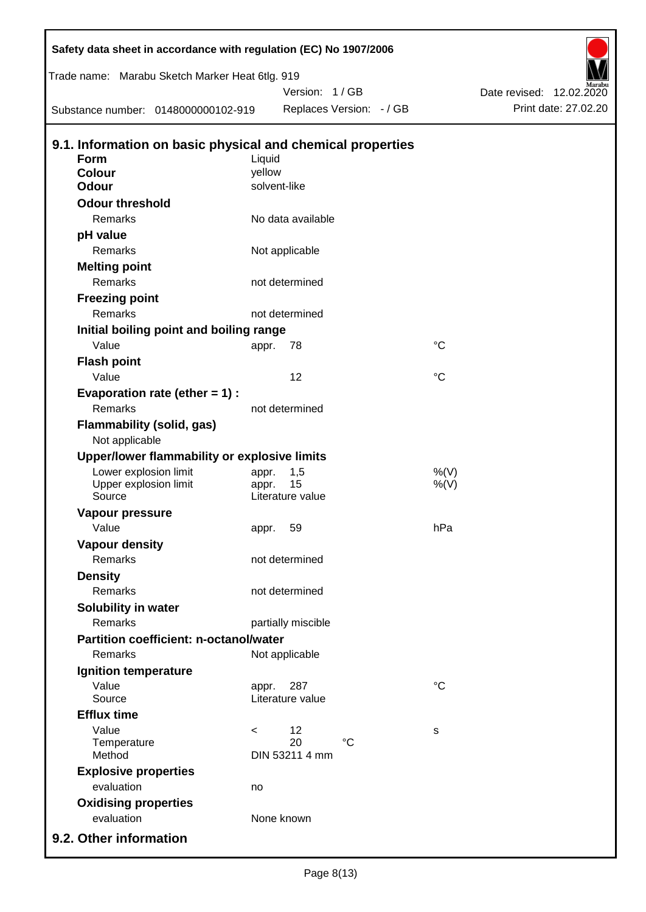| Safety data sheet in accordance with regulation (EC) No 1907/2006<br>Trade name: Marabu Sketch Marker Heat 6tlg. 919 |         | Version: 1/GB            |                 |                                                  |
|----------------------------------------------------------------------------------------------------------------------|---------|--------------------------|-----------------|--------------------------------------------------|
| Substance number: 0148000000102-919                                                                                  |         | Replaces Version: - / GB |                 | Date revised: 12.02.2020<br>Print date: 27.02.20 |
|                                                                                                                      |         |                          |                 |                                                  |
| 9.1. Information on basic physical and chemical properties<br>Form                                                   | Liquid  |                          |                 |                                                  |
| <b>Colour</b>                                                                                                        | yellow  |                          |                 |                                                  |
| <b>Odour</b>                                                                                                         |         | solvent-like             |                 |                                                  |
| <b>Odour threshold</b>                                                                                               |         |                          |                 |                                                  |
| Remarks                                                                                                              |         | No data available        |                 |                                                  |
| pH value                                                                                                             |         |                          |                 |                                                  |
| Remarks                                                                                                              |         | Not applicable           |                 |                                                  |
| <b>Melting point</b>                                                                                                 |         |                          |                 |                                                  |
| Remarks                                                                                                              |         | not determined           |                 |                                                  |
| <b>Freezing point</b>                                                                                                |         |                          |                 |                                                  |
| Remarks                                                                                                              |         | not determined           |                 |                                                  |
| Initial boiling point and boiling range                                                                              |         |                          |                 |                                                  |
| Value                                                                                                                | appr.   | 78                       | $\rm ^{\circ}C$ |                                                  |
| <b>Flash point</b>                                                                                                   |         |                          |                 |                                                  |
| Value                                                                                                                |         | 12                       | $\rm ^{\circ}C$ |                                                  |
| Evaporation rate (ether $= 1$ ) :                                                                                    |         |                          |                 |                                                  |
| Remarks                                                                                                              |         | not determined           |                 |                                                  |
| <b>Flammability (solid, gas)</b><br>Not applicable                                                                   |         |                          |                 |                                                  |
| Upper/lower flammability or explosive limits                                                                         |         |                          |                 |                                                  |
| Lower explosion limit                                                                                                | appr.   | 1,5                      | %(V)            |                                                  |
| Upper explosion limit                                                                                                | appr.   | 15                       | $%$ (V)         |                                                  |
| Source                                                                                                               |         | Literature value         |                 |                                                  |
| <b>Vapour pressure</b>                                                                                               |         |                          |                 |                                                  |
| Value                                                                                                                | appr.   | 59                       | hPa             |                                                  |
| <b>Vapour density</b>                                                                                                |         |                          |                 |                                                  |
| Remarks                                                                                                              |         | not determined           |                 |                                                  |
| <b>Density</b><br><b>Remarks</b>                                                                                     |         |                          |                 |                                                  |
|                                                                                                                      |         | not determined           |                 |                                                  |
| Solubility in water                                                                                                  |         |                          |                 |                                                  |
| Remarks                                                                                                              |         | partially miscible       |                 |                                                  |
| <b>Partition coefficient: n-octanol/water</b>                                                                        |         |                          |                 |                                                  |
| Remarks                                                                                                              |         | Not applicable           |                 |                                                  |
| Ignition temperature                                                                                                 |         |                          |                 |                                                  |
| Value<br>Source                                                                                                      | appr.   | 287<br>Literature value  | $\rm ^{\circ}C$ |                                                  |
| <b>Efflux time</b>                                                                                                   |         |                          |                 |                                                  |
| Value                                                                                                                | $\,<\,$ | 12                       | s               |                                                  |
| Temperature                                                                                                          |         | 20<br>$^{\circ}C$        |                 |                                                  |
| Method                                                                                                               |         | DIN 53211 4 mm           |                 |                                                  |
| <b>Explosive properties</b>                                                                                          |         |                          |                 |                                                  |
| evaluation                                                                                                           | no      |                          |                 |                                                  |
| <b>Oxidising properties</b>                                                                                          |         |                          |                 |                                                  |
| evaluation                                                                                                           |         | None known               |                 |                                                  |
| 9.2. Other information                                                                                               |         |                          |                 |                                                  |

Б

 $\mathsf{l}$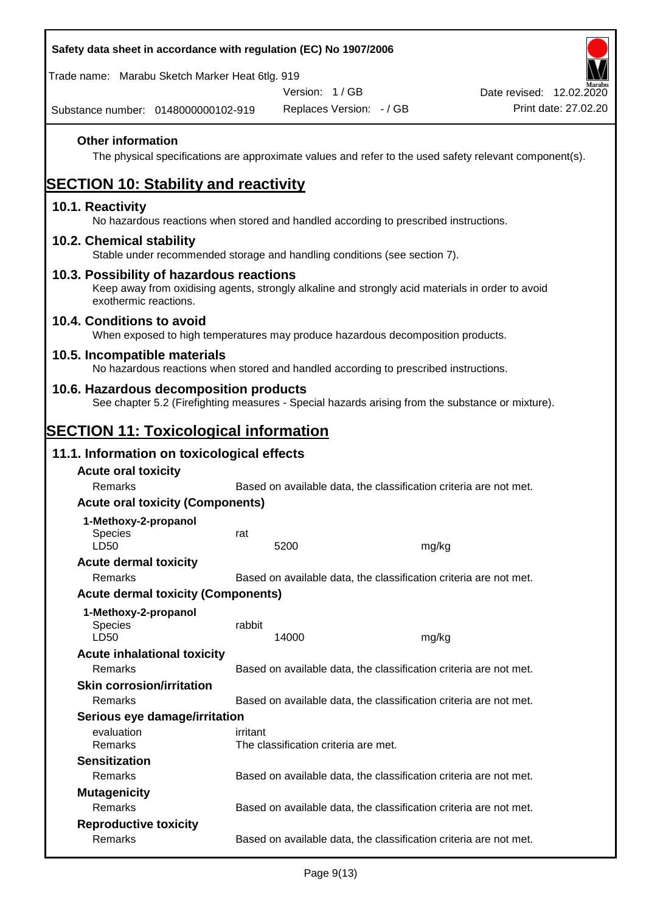| Safety data sheet in accordance with regulation (EC) No 1907/2006                                                                                                     |          |                                      |                          |                                                                                                        |
|-----------------------------------------------------------------------------------------------------------------------------------------------------------------------|----------|--------------------------------------|--------------------------|--------------------------------------------------------------------------------------------------------|
| Trade name: Marabu Sketch Marker Heat 6tlg. 919                                                                                                                       |          |                                      |                          |                                                                                                        |
|                                                                                                                                                                       |          | Version: 1/GB                        |                          | Date revised: 12.02.2020                                                                               |
| Substance number: 0148000000102-919                                                                                                                                   |          |                                      | Replaces Version: - / GB | Print date: 27.02.20                                                                                   |
| <b>Other information</b>                                                                                                                                              |          |                                      |                          | The physical specifications are approximate values and refer to the used safety relevant component(s). |
| <b>SECTION 10: Stability and reactivity</b>                                                                                                                           |          |                                      |                          |                                                                                                        |
| 10.1. Reactivity<br>No hazardous reactions when stored and handled according to prescribed instructions.                                                              |          |                                      |                          |                                                                                                        |
| 10.2. Chemical stability<br>Stable under recommended storage and handling conditions (see section 7).                                                                 |          |                                      |                          |                                                                                                        |
| 10.3. Possibility of hazardous reactions<br>Keep away from oxidising agents, strongly alkaline and strongly acid materials in order to avoid<br>exothermic reactions. |          |                                      |                          |                                                                                                        |
| 10.4. Conditions to avoid<br>When exposed to high temperatures may produce hazardous decomposition products.                                                          |          |                                      |                          |                                                                                                        |
| 10.5. Incompatible materials<br>No hazardous reactions when stored and handled according to prescribed instructions.                                                  |          |                                      |                          |                                                                                                        |
| 10.6. Hazardous decomposition products<br>See chapter 5.2 (Firefighting measures - Special hazards arising from the substance or mixture).                            |          |                                      |                          |                                                                                                        |
| <b>SECTION 11: Toxicological information</b>                                                                                                                          |          |                                      |                          |                                                                                                        |
| 11.1. Information on toxicological effects                                                                                                                            |          |                                      |                          |                                                                                                        |
| <b>Acute oral toxicity</b>                                                                                                                                            |          |                                      |                          |                                                                                                        |
| Remarks                                                                                                                                                               |          |                                      |                          | Based on available data, the classification criteria are not met.                                      |
| <b>Acute oral toxicity (Components)</b>                                                                                                                               |          |                                      |                          |                                                                                                        |
| 1-Methoxy-2-propanol                                                                                                                                                  |          |                                      |                          |                                                                                                        |
| <b>Species</b>                                                                                                                                                        | rat      |                                      |                          |                                                                                                        |
| LD50                                                                                                                                                                  |          | 5200                                 |                          | mg/kg                                                                                                  |
| <b>Acute dermal toxicity</b>                                                                                                                                          |          |                                      |                          |                                                                                                        |
| Remarks                                                                                                                                                               |          |                                      |                          | Based on available data, the classification criteria are not met.                                      |
| <b>Acute dermal toxicity (Components)</b>                                                                                                                             |          |                                      |                          |                                                                                                        |
| 1-Methoxy-2-propanol<br><b>Species</b><br>LD50                                                                                                                        | rabbit   | 14000                                |                          | mg/kg                                                                                                  |
| <b>Acute inhalational toxicity</b>                                                                                                                                    |          |                                      |                          |                                                                                                        |
| Remarks                                                                                                                                                               |          |                                      |                          | Based on available data, the classification criteria are not met.                                      |
| <b>Skin corrosion/irritation</b>                                                                                                                                      |          |                                      |                          |                                                                                                        |
| Remarks                                                                                                                                                               |          |                                      |                          | Based on available data, the classification criteria are not met.                                      |
| Serious eye damage/irritation                                                                                                                                         |          |                                      |                          |                                                                                                        |
| evaluation<br>Remarks                                                                                                                                                 | irritant | The classification criteria are met. |                          |                                                                                                        |
| <b>Sensitization</b>                                                                                                                                                  |          |                                      |                          |                                                                                                        |
| Remarks                                                                                                                                                               |          |                                      |                          | Based on available data, the classification criteria are not met.                                      |
| <b>Mutagenicity</b>                                                                                                                                                   |          |                                      |                          |                                                                                                        |
| Remarks                                                                                                                                                               |          |                                      |                          | Based on available data, the classification criteria are not met.                                      |
| <b>Reproductive toxicity</b><br>Remarks                                                                                                                               |          |                                      |                          | Based on available data, the classification criteria are not met.                                      |
|                                                                                                                                                                       |          |                                      |                          |                                                                                                        |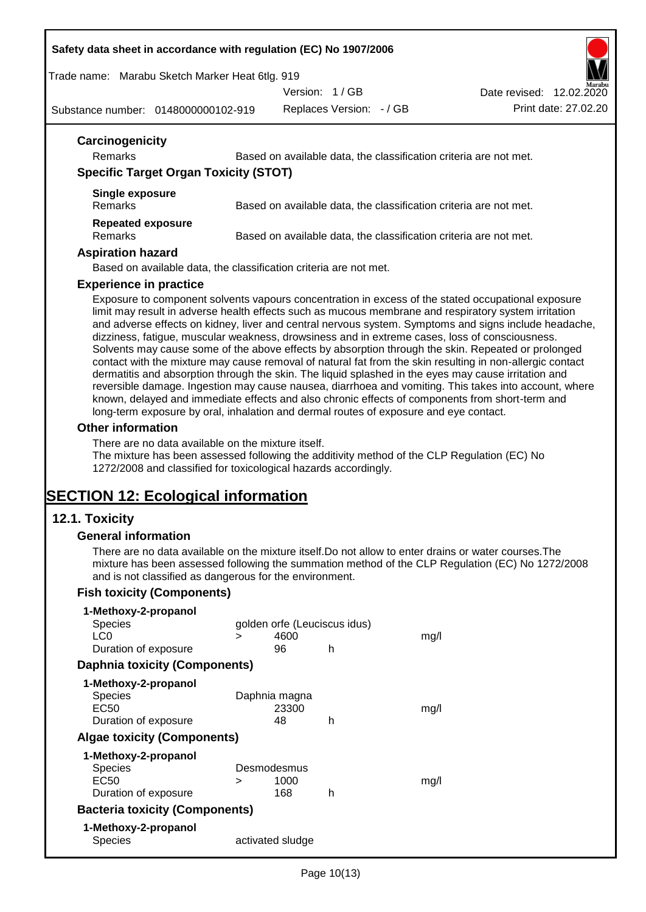#### **Safety data sheet in accordance with regulation (EC) No 1907/2006**

Trade name: Marabu Sketch Marker Heat 6tlg. 919

Version: 1 / GB

Substance number: 0148000000102-919

Replaces Version: - / GB Print date: 27.02.20 Date revised: 12.02.2020

| Carcinogenicity<br><b>Remarks</b>            | Based on available data, the classification criteria are not met. |
|----------------------------------------------|-------------------------------------------------------------------|
| <b>Specific Target Organ Toxicity (STOT)</b> |                                                                   |
| Single exposure<br><b>Remarks</b>            | Based on available data, the classification criteria are not met. |
| <b>Repeated exposure</b><br><b>Remarks</b>   | Based on available data, the classification criteria are not met. |

Based on available data, the classification criteria are not met.

#### **Experience in practice**

Exposure to component solvents vapours concentration in excess of the stated occupational exposure limit may result in adverse health effects such as mucous membrane and respiratory system irritation and adverse effects on kidney, liver and central nervous system. Symptoms and signs include headache, dizziness, fatigue, muscular weakness, drowsiness and in extreme cases, loss of consciousness. Solvents may cause some of the above effects by absorption through the skin. Repeated or prolonged contact with the mixture may cause removal of natural fat from the skin resulting in non-allergic contact dermatitis and absorption through the skin. The liquid splashed in the eyes may cause irritation and reversible damage. Ingestion may cause nausea, diarrhoea and vomiting. This takes into account, where known, delayed and immediate effects and also chronic effects of components from short-term and long-term exposure by oral, inhalation and dermal routes of exposure and eye contact.

#### **Other information**

There are no data available on the mixture itself.

The mixture has been assessed following the additivity method of the CLP Regulation (EC) No 1272/2008 and classified for toxicological hazards accordingly.

## **SECTION 12: Ecological information**

#### **12.1. Toxicity**

#### **General information**

There are no data available on the mixture itself.Do not allow to enter drains or water courses.The mixture has been assessed following the summation method of the CLP Regulation (EC) No 1272/2008 and is not classified as dangerous for the environment.

#### **Fish toxicity (Components)**

| 1-Methoxy-2-propanol                  |             |                              |   |      |
|---------------------------------------|-------------|------------------------------|---|------|
| Species                               |             | golden orfe (Leuciscus idus) |   |      |
| LC <sub>0</sub>                       | >           | 4600                         |   | mq/l |
| Duration of exposure                  |             | 96                           | h |      |
| <b>Daphnia toxicity (Components)</b>  |             |                              |   |      |
| 1-Methoxy-2-propanol                  |             |                              |   |      |
| <b>Species</b>                        |             | Daphnia magna                |   |      |
| EC50                                  |             | 23300                        |   | mq/l |
| Duration of exposure                  |             | 48                           | h |      |
| <b>Algae toxicity (Components)</b>    |             |                              |   |      |
| 1-Methoxy-2-propanol                  |             |                              |   |      |
| Species                               | Desmodesmus |                              |   |      |
| EC50                                  | ⋗           | 1000                         |   | mq/l |
| Duration of exposure                  |             | 168                          | h |      |
| <b>Bacteria toxicity (Components)</b> |             |                              |   |      |
| 1-Methoxy-2-propanol                  |             |                              |   |      |
| Species                               |             | activated sludge             |   |      |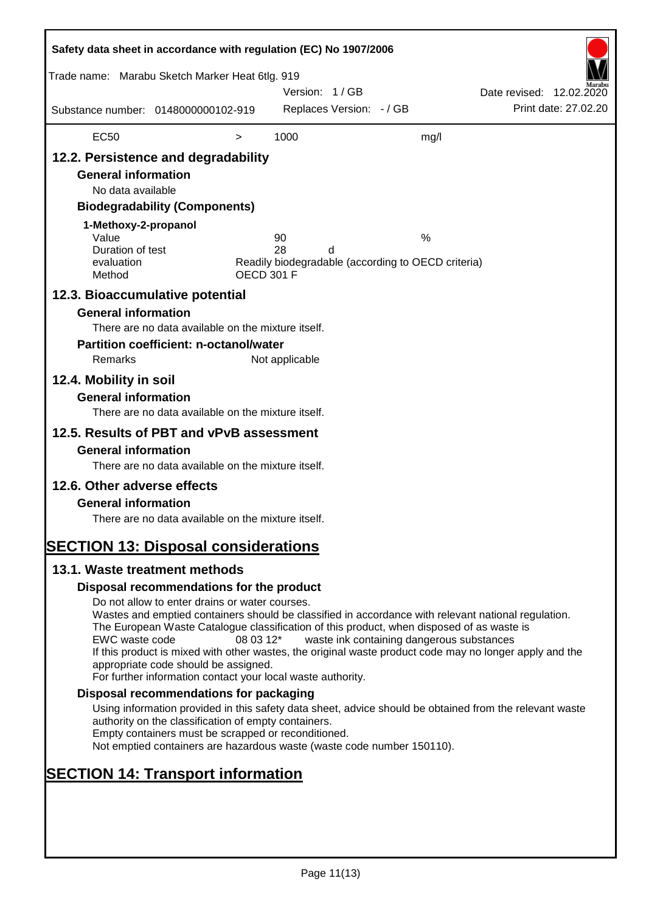| Safety data sheet in accordance with regulation (EC) No 1907/2006                                                                                                                                                                                                       |                                                                                                                                                                                                                                                                                                                                                                                                                                                                      |                   |                |                          |                                                    |                          |                      |
|-------------------------------------------------------------------------------------------------------------------------------------------------------------------------------------------------------------------------------------------------------------------------|----------------------------------------------------------------------------------------------------------------------------------------------------------------------------------------------------------------------------------------------------------------------------------------------------------------------------------------------------------------------------------------------------------------------------------------------------------------------|-------------------|----------------|--------------------------|----------------------------------------------------|--------------------------|----------------------|
| Trade name: Marabu Sketch Marker Heat 6tlg. 919                                                                                                                                                                                                                         |                                                                                                                                                                                                                                                                                                                                                                                                                                                                      |                   | Version: 1/GB  |                          |                                                    | Date revised: 12.02.2020 |                      |
| Substance number: 0148000000102-919                                                                                                                                                                                                                                     |                                                                                                                                                                                                                                                                                                                                                                                                                                                                      |                   |                | Replaces Version: - / GB |                                                    |                          | Print date: 27.02.20 |
| <b>EC50</b>                                                                                                                                                                                                                                                             |                                                                                                                                                                                                                                                                                                                                                                                                                                                                      | $\,>$             | 1000           |                          | mg/l                                               |                          |                      |
| 12.2. Persistence and degradability<br><b>General information</b><br>No data available<br>1-Methoxy-2-propanol<br>Value                                                                                                                                                 | <b>Biodegradability (Components)</b>                                                                                                                                                                                                                                                                                                                                                                                                                                 |                   | 90             |                          | %                                                  |                          |                      |
| Duration of test<br>evaluation<br>Method                                                                                                                                                                                                                                |                                                                                                                                                                                                                                                                                                                                                                                                                                                                      | <b>OECD 301 F</b> | 28             | d                        | Readily biodegradable (according to OECD criteria) |                          |                      |
| 12.3. Bioaccumulative potential<br><b>General information</b><br>Remarks<br>12.4. Mobility in soil<br><b>General information</b><br>12.5. Results of PBT and vPvB assessment<br><b>General information</b><br>12.6. Other adverse effects<br><b>General information</b> | There are no data available on the mixture itself.<br><b>Partition coefficient: n-octanol/water</b><br>There are no data available on the mixture itself.<br>There are no data available on the mixture itself.<br>There are no data available on the mixture itself.                                                                                                                                                                                                |                   | Not applicable |                          |                                                    |                          |                      |
| <b>SECTION 13: Disposal considerations</b><br>13.1. Waste treatment methods                                                                                                                                                                                             |                                                                                                                                                                                                                                                                                                                                                                                                                                                                      |                   |                |                          |                                                    |                          |                      |
|                                                                                                                                                                                                                                                                         | Disposal recommendations for the product                                                                                                                                                                                                                                                                                                                                                                                                                             |                   |                |                          |                                                    |                          |                      |
| EWC waste code                                                                                                                                                                                                                                                          | Do not allow to enter drains or water courses.<br>Wastes and emptied containers should be classified in accordance with relevant national regulation.<br>The European Waste Catalogue classification of this product, when disposed of as waste is<br>If this product is mixed with other wastes, the original waste product code may no longer apply and the<br>appropriate code should be assigned.<br>For further information contact your local waste authority. | 08 03 12*         |                |                          | waste ink containing dangerous substances          |                          |                      |
|                                                                                                                                                                                                                                                                         | Disposal recommendations for packaging                                                                                                                                                                                                                                                                                                                                                                                                                               |                   |                |                          |                                                    |                          |                      |
|                                                                                                                                                                                                                                                                         | Using information provided in this safety data sheet, advice should be obtained from the relevant waste<br>authority on the classification of empty containers.<br>Empty containers must be scrapped or reconditioned.<br>Not emptied containers are hazardous waste (waste code number 150110).                                                                                                                                                                     |                   |                |                          |                                                    |                          |                      |
| <b>SECTION 14: Transport information</b>                                                                                                                                                                                                                                |                                                                                                                                                                                                                                                                                                                                                                                                                                                                      |                   |                |                          |                                                    |                          |                      |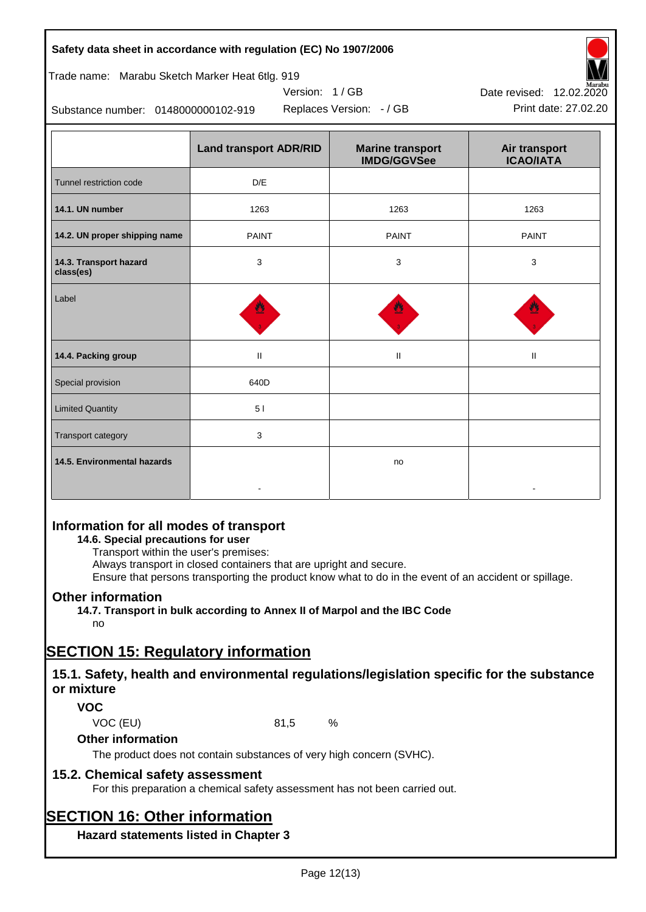#### **Safety data sheet in accordance with regulation (EC) No 1907/2006**

#### Trade name: Marabu Sketch Marker Heat 6tlg. 919

Substance number: 0148000000102-919

|                                     | <b>Land transport ADR/RID</b> | <b>Marine transport</b><br><b>IMDG/GGVSee</b> | Air transport<br><b>ICAO/IATA</b> |
|-------------------------------------|-------------------------------|-----------------------------------------------|-----------------------------------|
| Tunnel restriction code             | D/E                           |                                               |                                   |
| 14.1. UN number                     | 1263                          | 1263                                          | 1263                              |
| 14.2. UN proper shipping name       | <b>PAINT</b>                  | <b>PAINT</b>                                  | <b>PAINT</b>                      |
| 14.3. Transport hazard<br>class(es) | 3                             | 3                                             | 3                                 |
| Label                               |                               |                                               |                                   |
| 14.4. Packing group                 | Ш                             | Ш                                             | $\mathbf{H}$                      |
| Special provision                   | 640D                          |                                               |                                   |
| <b>Limited Quantity</b>             | 51                            |                                               |                                   |
| Transport category                  | $\mathbf{3}$                  |                                               |                                   |
| 14.5. Environmental hazards         |                               | no                                            |                                   |

Version: 1 / GB

### **Information for all modes of transport**

#### **14.6. Special precautions for user**

Transport within the user's premises:

Always transport in closed containers that are upright and secure.

Ensure that persons transporting the product know what to do in the event of an accident or spillage.

### **Other information**

**14.7. Transport in bulk according to Annex II of Marpol and the IBC Code** no

# **SECTION 15: Regulatory information**

### **15.1. Safety, health and environmental regulations/legislation specific for the substance or mixture**

### **VOC**

VOC (EU) 81,5 %

#### **Other information**

The product does not contain substances of very high concern (SVHC).

### **15.2. Chemical safety assessment**

For this preparation a chemical safety assessment has not been carried out.

# **SECTION 16: Other information**

**Hazard statements listed in Chapter 3**



Replaces Version: - / GB Print date: 27.02.20 Date revised: 12.02.2020